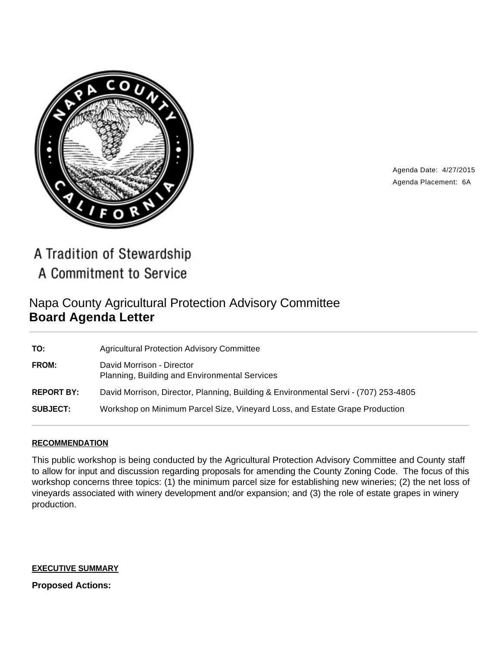

Agenda Date: 4/27/2015 Agenda Placement: 6A

A Tradition of Stewardship A Commitment to Service

# Napa County Agricultural Protection Advisory Committee **Board Agenda Letter**

| TO:               | <b>Agricultural Protection Advisory Committee</b>                                   |
|-------------------|-------------------------------------------------------------------------------------|
| <b>FROM:</b>      | David Morrison - Director<br>Planning, Building and Environmental Services          |
| <b>REPORT BY:</b> | David Morrison, Director, Planning, Building & Environmental Servi - (707) 253-4805 |
| <b>SUBJECT:</b>   | Workshop on Minimum Parcel Size, Vineyard Loss, and Estate Grape Production         |

# **RECOMMENDATION**

This public workshop is being conducted by the Agricultural Protection Advisory Committee and County staff to allow for input and discussion regarding proposals for amending the County Zoning Code. The focus of this workshop concerns three topics: (1) the minimum parcel size for establishing new wineries; (2) the net loss of vineyards associated with winery development and/or expansion; and (3) the role of estate grapes in winery production.

### **EXECUTIVE SUMMARY**

**Proposed Actions:**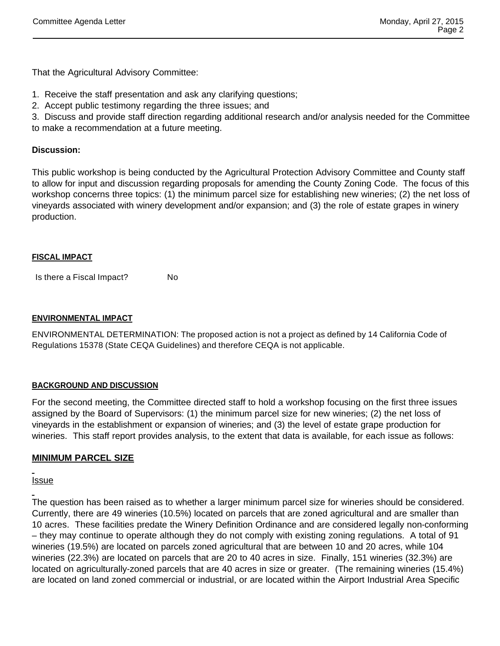That the Agricultural Advisory Committee:

- 1. Receive the staff presentation and ask any clarifying questions;
- 2. Accept public testimony regarding the three issues; and

3. Discuss and provide staff direction regarding additional research and/or analysis needed for the Committee to make a recommendation at a future meeting.

# **Discussion:**

This public workshop is being conducted by the Agricultural Protection Advisory Committee and County staff to allow for input and discussion regarding proposals for amending the County Zoning Code. The focus of this workshop concerns three topics: (1) the minimum parcel size for establishing new wineries; (2) the net loss of vineyards associated with winery development and/or expansion; and (3) the role of estate grapes in winery production.

### **FISCAL IMPACT**

Is there a Fiscal Impact? No

# **ENVIRONMENTAL IMPACT**

ENVIRONMENTAL DETERMINATION: The proposed action is not a project as defined by 14 California Code of Regulations 15378 (State CEQA Guidelines) and therefore CEQA is not applicable.

# **BACKGROUND AND DISCUSSION**

For the second meeting, the Committee directed staff to hold a workshop focusing on the first three issues assigned by the Board of Supervisors: (1) the minimum parcel size for new wineries; (2) the net loss of vineyards in the establishment or expansion of wineries; and (3) the level of estate grape production for wineries. This staff report provides analysis, to the extent that data is available, for each issue as follows:

# **MINIMUM PARCEL SIZE**

Issue

The question has been raised as to whether a larger minimum parcel size for wineries should be considered. Currently, there are 49 wineries (10.5%) located on parcels that are zoned agricultural and are smaller than 10 acres. These facilities predate the Winery Definition Ordinance and are considered legally non-conforming – they may continue to operate although they do not comply with existing zoning regulations. A total of 91 wineries (19.5%) are located on parcels zoned agricultural that are between 10 and 20 acres, while 104 wineries (22.3%) are located on parcels that are 20 to 40 acres in size. Finally, 151 wineries (32.3%) are located on agriculturally-zoned parcels that are 40 acres in size or greater. (The remaining wineries (15.4%) are located on land zoned commercial or industrial, or are located within the Airport Industrial Area Specific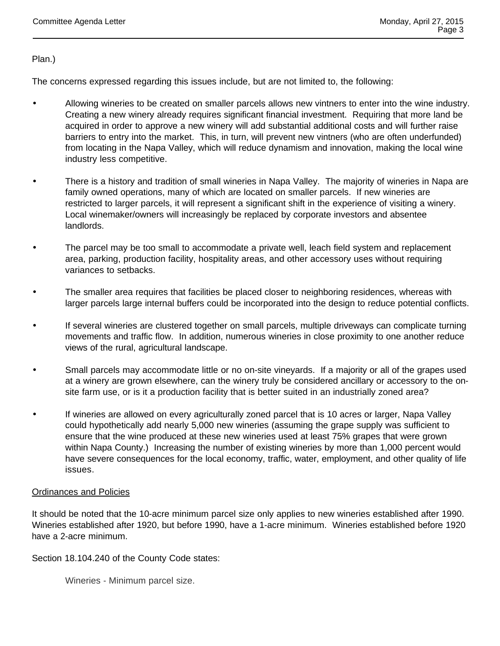Plan.)

The concerns expressed regarding this issues include, but are not limited to, the following:

- Allowing wineries to be created on smaller parcels allows new vintners to enter into the wine industry. Creating a new winery already requires significant financial investment. Requiring that more land be acquired in order to approve a new winery will add substantial additional costs and will further raise barriers to entry into the market. This, in turn, will prevent new vintners (who are often underfunded) from locating in the Napa Valley, which will reduce dynamism and innovation, making the local wine industry less competitive.
- There is a history and tradition of small wineries in Napa Valley. The majority of wineries in Napa are family owned operations, many of which are located on smaller parcels. If new wineries are restricted to larger parcels, it will represent a significant shift in the experience of visiting a winery. Local winemaker/owners will increasingly be replaced by corporate investors and absentee landlords.
- The parcel may be too small to accommodate a private well, leach field system and replacement area, parking, production facility, hospitality areas, and other accessory uses without requiring variances to setbacks.
- The smaller area requires that facilities be placed closer to neighboring residences, whereas with larger parcels large internal buffers could be incorporated into the design to reduce potential conflicts.
- If several wineries are clustered together on small parcels, multiple driveways can complicate turning movements and traffic flow. In addition, numerous wineries in close proximity to one another reduce views of the rural, agricultural landscape.
- Small parcels may accommodate little or no on-site vineyards. If a majority or all of the grapes used at a winery are grown elsewhere, can the winery truly be considered ancillary or accessory to the onsite farm use, or is it a production facility that is better suited in an industrially zoned area?
- If wineries are allowed on every agriculturally zoned parcel that is 10 acres or larger, Napa Valley could hypothetically add nearly 5,000 new wineries (assuming the grape supply was sufficient to ensure that the wine produced at these new wineries used at least 75% grapes that were grown within Napa County.) Increasing the number of existing wineries by more than 1,000 percent would have severe consequences for the local economy, traffic, water, employment, and other quality of life issues.

# Ordinances and Policies

It should be noted that the 10-acre minimum parcel size only applies to new wineries established after 1990. Wineries established after 1920, but before 1990, have a 1-acre minimum. Wineries established before 1920 have a 2-acre minimum.

Section 18.104.240 of the County Code states:

Wineries - Minimum parcel size.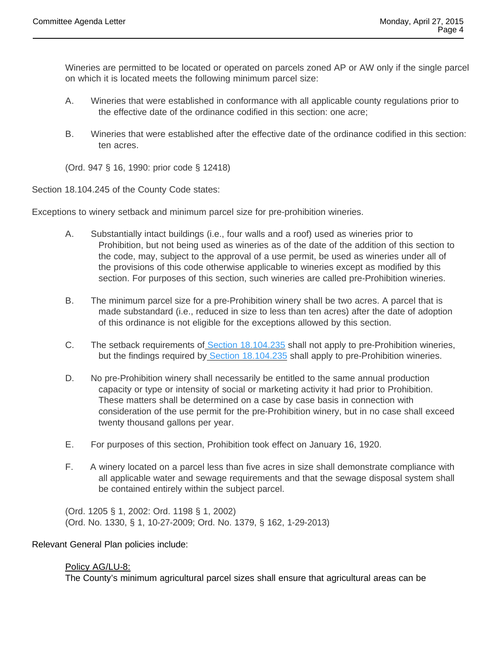Wineries are permitted to be located or operated on parcels zoned AP or AW only if the single parcel on which it is located meets the following minimum parcel size:

- A. Wineries that were established in conformance with all applicable county regulations prior to the effective date of the ordinance codified in this section: one acre;
- B. Wineries that were established after the effective date of the ordinance codified in this section: ten acres.

(Ord. 947 § 16, 1990: prior code § 12418)

Section 18.104.245 of the County Code states:

Exceptions to winery setback and minimum parcel size for pre-prohibition wineries.

- A. Substantially intact buildings (i.e., four walls and a roof) used as wineries prior to Prohibition, but not being used as wineries as of the date of the addition of this section to the code, may, subject to the approval of a use permit, be used as wineries under all of the provisions of this code otherwise applicable to wineries except as modified by this section. For purposes of this section, such wineries are called pre-Prohibition wineries.
- B. The minimum parcel size for a pre-Prohibition winery shall be two acres. A parcel that is made substandard (i.e., reduced in size to less than ten acres) after the date of adoption of this ordinance is not eligible for the exceptions allowed by this section.
- C. The setback requirements of Section 18.104.235 shall not apply to pre-Prohibition wineries, but the findings required by Section 18.104.235 shall apply to pre-Prohibition wineries.
- D. No pre-Prohibition winery shall necessarily be entitled to the same annual production capacity or type or intensity of social or marketing activity it had prior to Prohibition. These matters shall be determined on a case by case basis in connection with consideration of the use permit for the pre-Prohibition winery, but in no case shall exceed twenty thousand gallons per year.
- E. For purposes of this section, Prohibition took effect on January 16, 1920.
- F. A winery located on a parcel less than five acres in size shall demonstrate compliance with all applicable water and sewage requirements and that the sewage disposal system shall be contained entirely within the subject parcel.

(Ord. 1205 § 1, 2002: Ord. 1198 § 1, 2002) (Ord. No. 1330, § 1, 10-27-2009; Ord. No. 1379, § 162, 1-29-2013)

### Relevant General Plan policies include:

### Policy AG/LU-8:

The County's minimum agricultural parcel sizes shall ensure that agricultural areas can be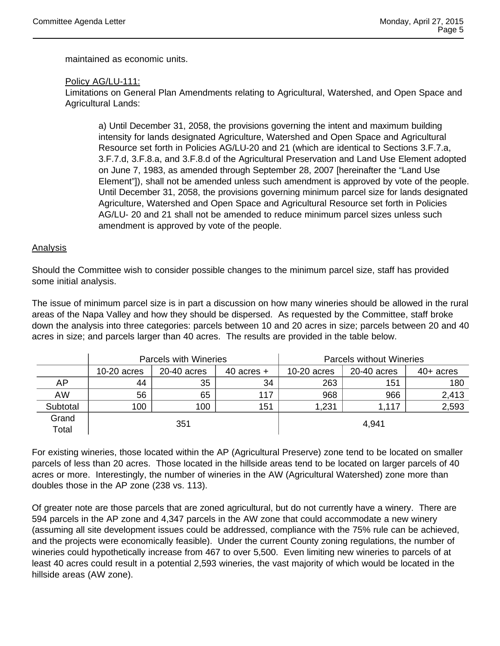maintained as economic units.

# Policy AG/LU-111:

Limitations on General Plan Amendments relating to Agricultural, Watershed, and Open Space and Agricultural Lands:

a) Until December 31, 2058, the provisions governing the intent and maximum building intensity for lands designated Agriculture, Watershed and Open Space and Agricultural Resource set forth in Policies AG/LU-20 and 21 (which are identical to Sections 3.F.7.a, 3.F.7.d, 3.F.8.a, and 3.F.8.d of the Agricultural Preservation and Land Use Element adopted on June 7, 1983, as amended through September 28, 2007 [hereinafter the "Land Use Element"]), shall not be amended unless such amendment is approved by vote of the people. Until December 31, 2058, the provisions governing minimum parcel size for lands designated Agriculture, Watershed and Open Space and Agricultural Resource set forth in Policies AG/LU- 20 and 21 shall not be amended to reduce minimum parcel sizes unless such amendment is approved by vote of the people.

### Analysis

Should the Committee wish to consider possible changes to the minimum parcel size, staff has provided some initial analysis.

The issue of minimum parcel size is in part a discussion on how many wineries should be allowed in the rural areas of the Napa Valley and how they should be dispersed. As requested by the Committee, staff broke down the analysis into three categories: parcels between 10 and 20 acres in size; parcels between 20 and 40 acres in size; and parcels larger than 40 acres. The results are provided in the table below.

|          | Parcels with Wineries |             |                | <b>Parcels without Wineries</b> |             |             |
|----------|-----------------------|-------------|----------------|---------------------------------|-------------|-------------|
|          | 10-20 acres           | 20-40 acres | $40$ acres $+$ | $10-20$ acres                   | 20-40 acres | $40+$ acres |
| AP       | 44                    | 35          | 34             | 263                             | 151         | 180         |
| AW       | 56                    | 65          | 117            | 968                             | 966         | 2,413       |
| Subtotal | 100                   | 100         | 151            | 1,231                           | 1,117       | 2,593       |
| Grand    | 351                   |             |                | 4,941                           |             |             |
| Total    |                       |             |                |                                 |             |             |

For existing wineries, those located within the AP (Agricultural Preserve) zone tend to be located on smaller parcels of less than 20 acres. Those located in the hillside areas tend to be located on larger parcels of 40 acres or more. Interestingly, the number of wineries in the AW (Agricultural Watershed) zone more than doubles those in the AP zone (238 vs. 113).

Of greater note are those parcels that are zoned agricultural, but do not currently have a winery. There are 594 parcels in the AP zone and 4,347 parcels in the AW zone that could accommodate a new winery (assuming all site development issues could be addressed, compliance with the 75% rule can be achieved, and the projects were economically feasible). Under the current County zoning regulations, the number of wineries could hypothetically increase from 467 to over 5,500. Even limiting new wineries to parcels of at least 40 acres could result in a potential 2,593 wineries, the vast majority of which would be located in the hillside areas (AW zone).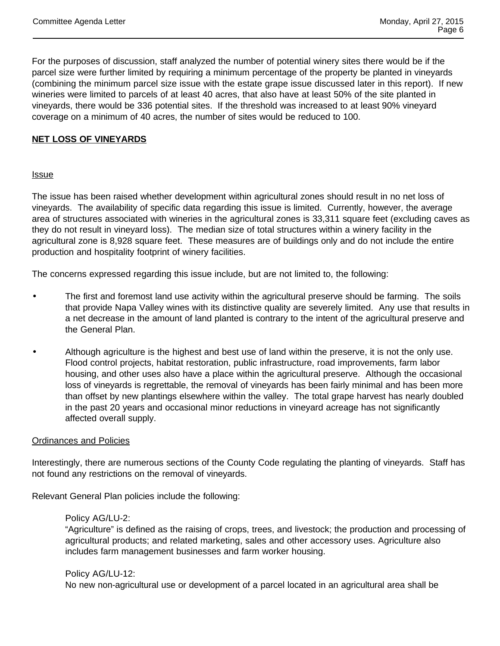For the purposes of discussion, staff analyzed the number of potential winery sites there would be if the parcel size were further limited by requiring a minimum percentage of the property be planted in vineyards (combining the minimum parcel size issue with the estate grape issue discussed later in this report). If new wineries were limited to parcels of at least 40 acres, that also have at least 50% of the site planted in vineyards, there would be 336 potential sites. If the threshold was increased to at least 90% vineyard coverage on a minimum of 40 acres, the number of sites would be reduced to 100.

# **NET LOSS OF VINEYARDS**

# **Issue**

The issue has been raised whether development within agricultural zones should result in no net loss of vineyards. The availability of specific data regarding this issue is limited. Currently, however, the average area of structures associated with wineries in the agricultural zones is 33,311 square feet (excluding caves as they do not result in vineyard loss). The median size of total structures within a winery facility in the agricultural zone is 8,928 square feet. These measures are of buildings only and do not include the entire production and hospitality footprint of winery facilities.

The concerns expressed regarding this issue include, but are not limited to, the following:

- The first and foremost land use activity within the agricultural preserve should be farming. The soils that provide Napa Valley wines with its distinctive quality are severely limited. Any use that results in a net decrease in the amount of land planted is contrary to the intent of the agricultural preserve and the General Plan.
- Although agriculture is the highest and best use of land within the preserve, it is not the only use. Flood control projects, habitat restoration, public infrastructure, road improvements, farm labor housing, and other uses also have a place within the agricultural preserve. Although the occasional loss of vineyards is regrettable, the removal of vineyards has been fairly minimal and has been more than offset by new plantings elsewhere within the valley. The total grape harvest has nearly doubled in the past 20 years and occasional minor reductions in vineyard acreage has not significantly affected overall supply.

### Ordinances and Policies

Interestingly, there are numerous sections of the County Code regulating the planting of vineyards. Staff has not found any restrictions on the removal of vineyards.

Relevant General Plan policies include the following:

### Policy AG/LU-2:

"Agriculture" is defined as the raising of crops, trees, and livestock; the production and processing of agricultural products; and related marketing, sales and other accessory uses. Agriculture also includes farm management businesses and farm worker housing.

### Policy AG/LU-12:

No new non-agricultural use or development of a parcel located in an agricultural area shall be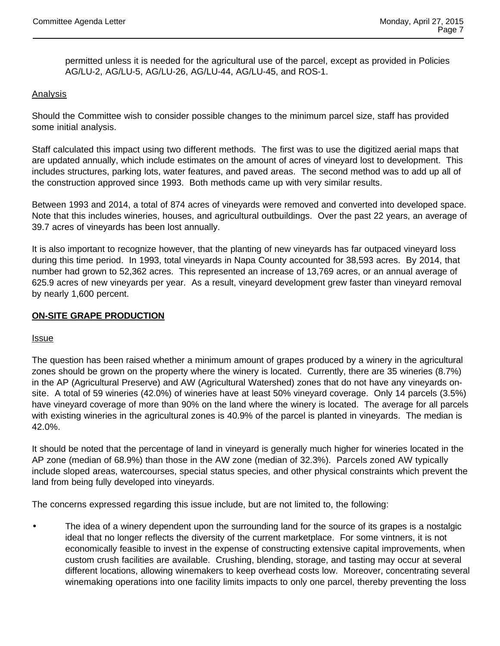permitted unless it is needed for the agricultural use of the parcel, except as provided in Policies AG/LU-2, AG/LU-5, AG/LU-26, AG/LU-44, AG/LU-45, and ROS-1.

# Analysis

Should the Committee wish to consider possible changes to the minimum parcel size, staff has provided some initial analysis.

Staff calculated this impact using two different methods. The first was to use the digitized aerial maps that are updated annually, which include estimates on the amount of acres of vineyard lost to development. This includes structures, parking lots, water features, and paved areas. The second method was to add up all of the construction approved since 1993. Both methods came up with very similar results.

Between 1993 and 2014, a total of 874 acres of vineyards were removed and converted into developed space. Note that this includes wineries, houses, and agricultural outbuildings. Over the past 22 years, an average of 39.7 acres of vineyards has been lost annually.

It is also important to recognize however, that the planting of new vineyards has far outpaced vineyard loss during this time period. In 1993, total vineyards in Napa County accounted for 38,593 acres. By 2014, that number had grown to 52,362 acres. This represented an increase of 13,769 acres, or an annual average of 625.9 acres of new vineyards per year. As a result, vineyard development grew faster than vineyard removal by nearly 1,600 percent.

# **ON-SITE GRAPE PRODUCTION**

### Issue

The question has been raised whether a minimum amount of grapes produced by a winery in the agricultural zones should be grown on the property where the winery is located. Currently, there are 35 wineries (8.7%) in the AP (Agricultural Preserve) and AW (Agricultural Watershed) zones that do not have any vineyards onsite. A total of 59 wineries (42.0%) of wineries have at least 50% vineyard coverage. Only 14 parcels (3.5%) have vineyard coverage of more than 90% on the land where the winery is located. The average for all parcels with existing wineries in the agricultural zones is 40.9% of the parcel is planted in vineyards. The median is 42.0%.

It should be noted that the percentage of land in vineyard is generally much higher for wineries located in the AP zone (median of 68.9%) than those in the AW zone (median of 32.3%). Parcels zoned AW typically include sloped areas, watercourses, special status species, and other physical constraints which prevent the land from being fully developed into vineyards.

The concerns expressed regarding this issue include, but are not limited to, the following:

 The idea of a winery dependent upon the surrounding land for the source of its grapes is a nostalgic ideal that no longer reflects the diversity of the current marketplace. For some vintners, it is not economically feasible to invest in the expense of constructing extensive capital improvements, when custom crush facilities are available. Crushing, blending, storage, and tasting may occur at several different locations, allowing winemakers to keep overhead costs low. Moreover, concentrating several winemaking operations into one facility limits impacts to only one parcel, thereby preventing the loss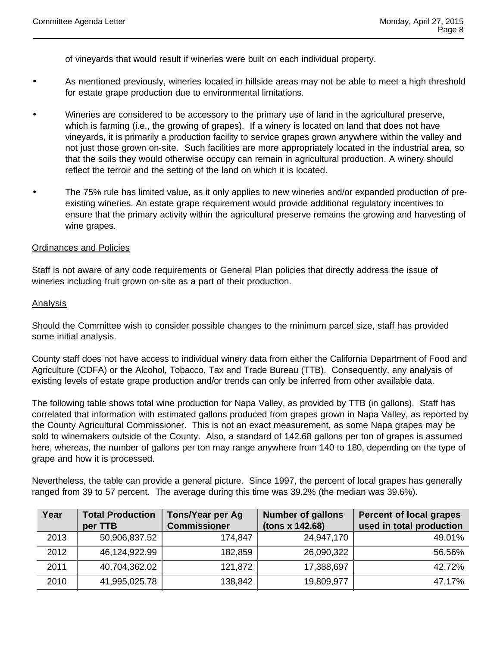of vineyards that would result if wineries were built on each individual property.

- As mentioned previously, wineries located in hillside areas may not be able to meet a high threshold for estate grape production due to environmental limitations.
- Wineries are considered to be accessory to the primary use of land in the agricultural preserve, which is farming (i.e., the growing of grapes). If a winery is located on land that does not have vineyards, it is primarily a production facility to service grapes grown anywhere within the valley and not just those grown on-site. Such facilities are more appropriately located in the industrial area, so that the soils they would otherwise occupy can remain in agricultural production. A winery should reflect the terroir and the setting of the land on which it is located.
- The 75% rule has limited value, as it only applies to new wineries and/or expanded production of preexisting wineries. An estate grape requirement would provide additional regulatory incentives to ensure that the primary activity within the agricultural preserve remains the growing and harvesting of wine grapes.

### Ordinances and Policies

Staff is not aware of any code requirements or General Plan policies that directly address the issue of wineries including fruit grown on-site as a part of their production.

#### Analysis

Should the Committee wish to consider possible changes to the minimum parcel size, staff has provided some initial analysis.

County staff does not have access to individual winery data from either the California Department of Food and Agriculture (CDFA) or the Alcohol, Tobacco, Tax and Trade Bureau (TTB). Consequently, any analysis of existing levels of estate grape production and/or trends can only be inferred from other available data.

The following table shows total wine production for Napa Valley, as provided by TTB (in gallons). Staff has correlated that information with estimated gallons produced from grapes grown in Napa Valley, as reported by the County Agricultural Commissioner. This is not an exact measurement, as some Napa grapes may be sold to winemakers outside of the County. Also, a standard of 142.68 gallons per ton of grapes is assumed here, whereas, the number of gallons per ton may range anywhere from 140 to 180, depending on the type of grape and how it is processed.

Nevertheless, the table can provide a general picture. Since 1997, the percent of local grapes has generally ranged from 39 to 57 percent. The average during this time was 39.2% (the median was 39.6%).

| Year | <b>Total Production</b><br>per TTB | <b>Tons/Year per Ag</b><br><b>Commissioner</b> | <b>Number of gallons</b><br>(tons x 142.68) | <b>Percent of local grapes</b><br>used in total production |
|------|------------------------------------|------------------------------------------------|---------------------------------------------|------------------------------------------------------------|
| 2013 | 50,906,837.52                      | 174,847                                        | 24,947,170                                  | 49.01%                                                     |
| 2012 | 46,124,922.99                      | 182,859                                        | 26,090,322                                  | 56.56%                                                     |
| 2011 | 40,704,362.02                      | 121,872                                        | 17,388,697                                  | 42.72%                                                     |
| 2010 | 41,995,025.78                      | 138,842                                        | 19,809,977                                  | 47.17%                                                     |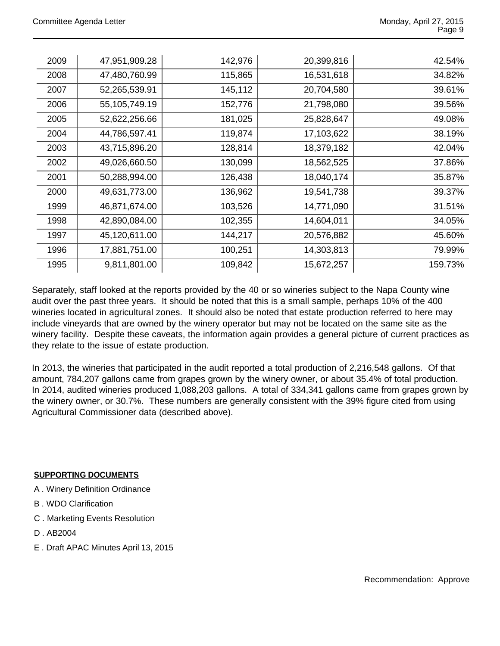| 2009 | 47,951,909.28 | 142,976 | 20,399,816 | 42.54%  |
|------|---------------|---------|------------|---------|
| 2008 | 47,480,760.99 | 115,865 | 16,531,618 | 34.82%  |
| 2007 | 52,265,539.91 | 145,112 | 20,704,580 | 39.61%  |
| 2006 | 55,105,749.19 | 152,776 | 21,798,080 | 39.56%  |
| 2005 | 52,622,256.66 | 181,025 | 25,828,647 | 49.08%  |
| 2004 | 44,786,597.41 | 119,874 | 17,103,622 | 38.19%  |
| 2003 | 43,715,896.20 | 128,814 | 18,379,182 | 42.04%  |
| 2002 | 49,026,660.50 | 130,099 | 18,562,525 | 37.86%  |
| 2001 | 50,288,994.00 | 126,438 | 18,040,174 | 35.87%  |
| 2000 | 49,631,773.00 | 136,962 | 19,541,738 | 39.37%  |
| 1999 | 46,871,674.00 | 103,526 | 14,771,090 | 31.51%  |
| 1998 | 42,890,084.00 | 102,355 | 14,604,011 | 34.05%  |
| 1997 | 45,120,611.00 | 144,217 | 20,576,882 | 45.60%  |
| 1996 | 17,881,751.00 | 100,251 | 14,303,813 | 79.99%  |
| 1995 | 9,811,801.00  | 109,842 | 15,672,257 | 159.73% |
|      |               |         |            |         |

Separately, staff looked at the reports provided by the 40 or so wineries subject to the Napa County wine audit over the past three years. It should be noted that this is a small sample, perhaps 10% of the 400 wineries located in agricultural zones. It should also be noted that estate production referred to here may include vineyards that are owned by the winery operator but may not be located on the same site as the winery facility. Despite these caveats, the information again provides a general picture of current practices as they relate to the issue of estate production.

In 2013, the wineries that participated in the audit reported a total production of 2,216,548 gallons. Of that amount, 784,207 gallons came from grapes grown by the winery owner, or about 35.4% of total production. In 2014, audited wineries produced 1,088,203 gallons. A total of 334,341 gallons came from grapes grown by the winery owner, or 30.7%. These numbers are generally consistent with the 39% figure cited from using Agricultural Commissioner data (described above).

# **SUPPORTING DOCUMENTS**

- A . Winery Definition Ordinance
- B . WDO Clarification
- C . Marketing Events Resolution
- D . AB2004
- E . Draft APAC Minutes April 13, 2015